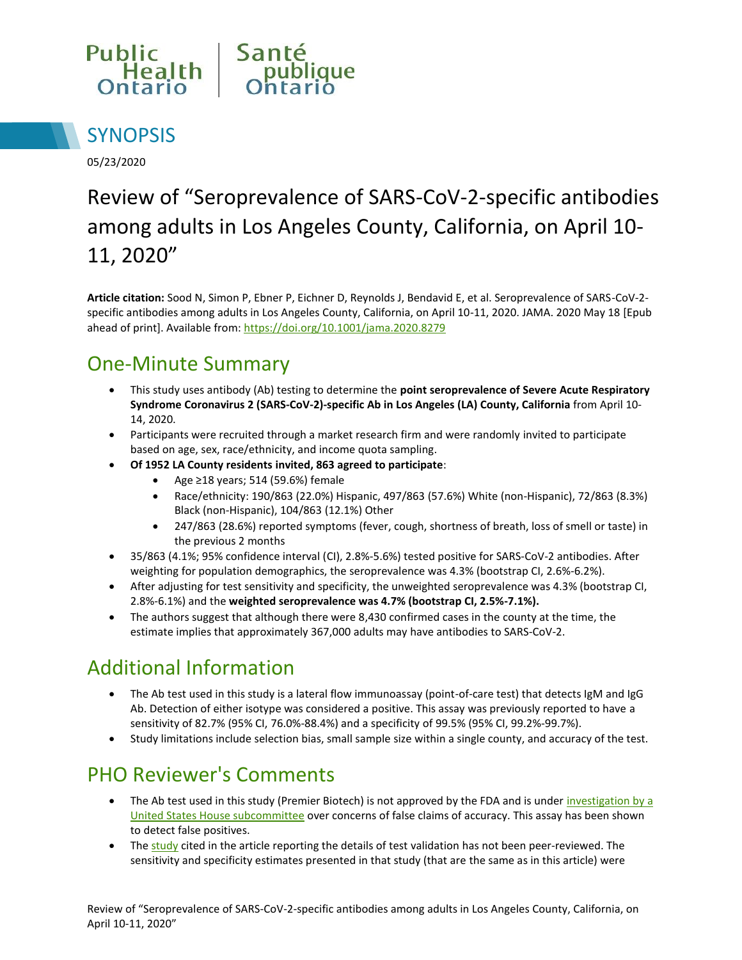



05/23/2020

# Review of "Seroprevalence of SARS-CoV-2-specific antibodies among adults in Los Angeles County, California, on April 10- 11, 2020"

**Article citation:** Sood N, Simon P, Ebner P, Eichner D, Reynolds J, Bendavid E, et al. Seroprevalence of SARS-CoV-2 specific antibodies among adults in Los Angeles County, California, on April 10-11, 2020. JAMA. 2020 May 18 [Epub ahead of print]. Available from[: https://doi.org/10.1001/jama.2020.8279](https://doi.org/10.1001/jama.2020.8279)

## One-Minute Summary

- This study uses antibody (Ab) testing to determine the **point seroprevalence of Severe Acute Respiratory Syndrome Coronavirus 2 (SARS-CoV-2)-specific Ab in Los Angeles (LA) County, California** from April 10- 14, 2020.
- Participants were recruited through a market research firm and were randomly invited to participate based on age, sex, race/ethnicity, and income quota sampling.
- **Of 1952 LA County residents invited, 863 agreed to participate**:
	- Age ≥18 years; 514 (59.6%) female
	- Race/ethnicity: 190/863 (22.0%) Hispanic, 497/863 (57.6%) White (non-Hispanic), 72/863 (8.3%) Black (non-Hispanic), 104/863 (12.1%) Other
	- 247/863 (28.6%) reported symptoms (fever, cough, shortness of breath, loss of smell or taste) in the previous 2 months
- 35/863 (4.1%; 95% confidence interval (CI), 2.8%-5.6%) tested positive for SARS-CoV-2 antibodies. After weighting for population demographics, the seroprevalence was 4.3% (bootstrap CI, 2.6%-6.2%).
- After adjusting for test sensitivity and specificity, the unweighted seroprevalence was 4.3% (bootstrap CI, 2.8%-6.1%) and the **weighted seroprevalence was 4.7% (bootstrap CI, 2.5%-7.1%).**
- The authors suggest that although there were 8,430 confirmed cases in the county at the time, the estimate implies that approximately 367,000 adults may have antibodies to SARS-CoV-2.

## Additional Information

- The Ab test used in this study is a lateral flow immunoassay (point-of-care test) that detects IgM and IgG Ab. Detection of either isotype was considered a positive. This assay was previously reported to have a sensitivity of 82.7% (95% CI, 76.0%-88.4%) and a specificity of 99.5% (95% CI, 99.2%-99.7%).
- Study limitations include selection bias, small sample size within a single county, and accuracy of the test.

## PHO Reviewer's Comments

- The Ab test used in this study (Premier Biotech) is not approved by the FDA and is under investigation by a [United States House subcommittee o](https://oversight.house.gov/sites/democrats.oversight.house.gov/files/2020-04-28.RK%20to%20Premier%20Biotech%20re%20Serology%20Tests.pdf)ver concerns of false claims of accuracy. This assay has been shown to detect false positives.
- The [study c](https://www.medrxiv.org/content/10.1101/2020.04.14.20062463v2.full.pdf)ited in the article reporting the details of test validation has not been peer-reviewed. The sensitivity and specificity estimates presented in that study (that are the same as in this article) were

Review of "Seroprevalence of SARS-CoV-2-specific antibodies among adults in Los Angeles County, California, on April 10-11, 2020"